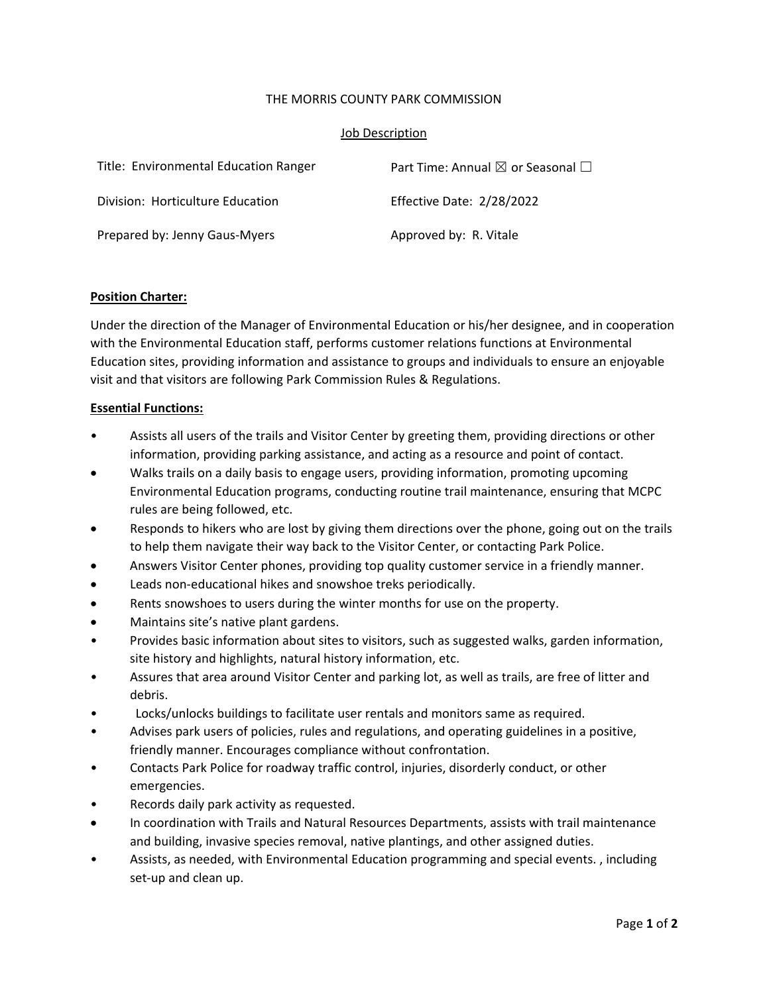## THE MORRIS COUNTY PARK COMMISSION

#### Job Description

| Title: Environmental Education Ranger | Part Time: Annual $\boxtimes$ or Seasonal $\Box$ |
|---------------------------------------|--------------------------------------------------|
| Division: Horticulture Education      | Effective Date: 2/28/2022                        |
| Prepared by: Jenny Gaus-Myers         | Approved by: R. Vitale                           |

## **Position Charter:**

Under the direction of the Manager of Environmental Education or his/her designee, and in cooperation with the Environmental Education staff, performs customer relations functions at Environmental Education sites, providing information and assistance to groups and individuals to ensure an enjoyable visit and that visitors are following Park Commission Rules & Regulations.

## **Essential Functions:**

- Assists all users of the trails and Visitor Center by greeting them, providing directions or other information, providing parking assistance, and acting as a resource and point of contact.
- Walks trails on a daily basis to engage users, providing information, promoting upcoming Environmental Education programs, conducting routine trail maintenance, ensuring that MCPC rules are being followed, etc.
- Responds to hikers who are lost by giving them directions over the phone, going out on the trails to help them navigate their way back to the Visitor Center, or contacting Park Police.
- Answers Visitor Center phones, providing top quality customer service in a friendly manner.
- Leads non‐educational hikes and snowshoe treks periodically.
- Rents snowshoes to users during the winter months for use on the property.
- Maintains site's native plant gardens.
- Provides basic information about sites to visitors, such as suggested walks, garden information, site history and highlights, natural history information, etc.
- Assures that area around Visitor Center and parking lot, as well as trails, are free of litter and debris.
- Locks/unlocks buildings to facilitate user rentals and monitors same as required.
- Advises park users of policies, rules and regulations, and operating guidelines in a positive, friendly manner. Encourages compliance without confrontation.
- Contacts Park Police for roadway traffic control, injuries, disorderly conduct, or other emergencies.
- Records daily park activity as requested.
- In coordination with Trails and Natural Resources Departments, assists with trail maintenance and building, invasive species removal, native plantings, and other assigned duties.
- Assists, as needed, with Environmental Education programming and special events. , including set‐up and clean up.